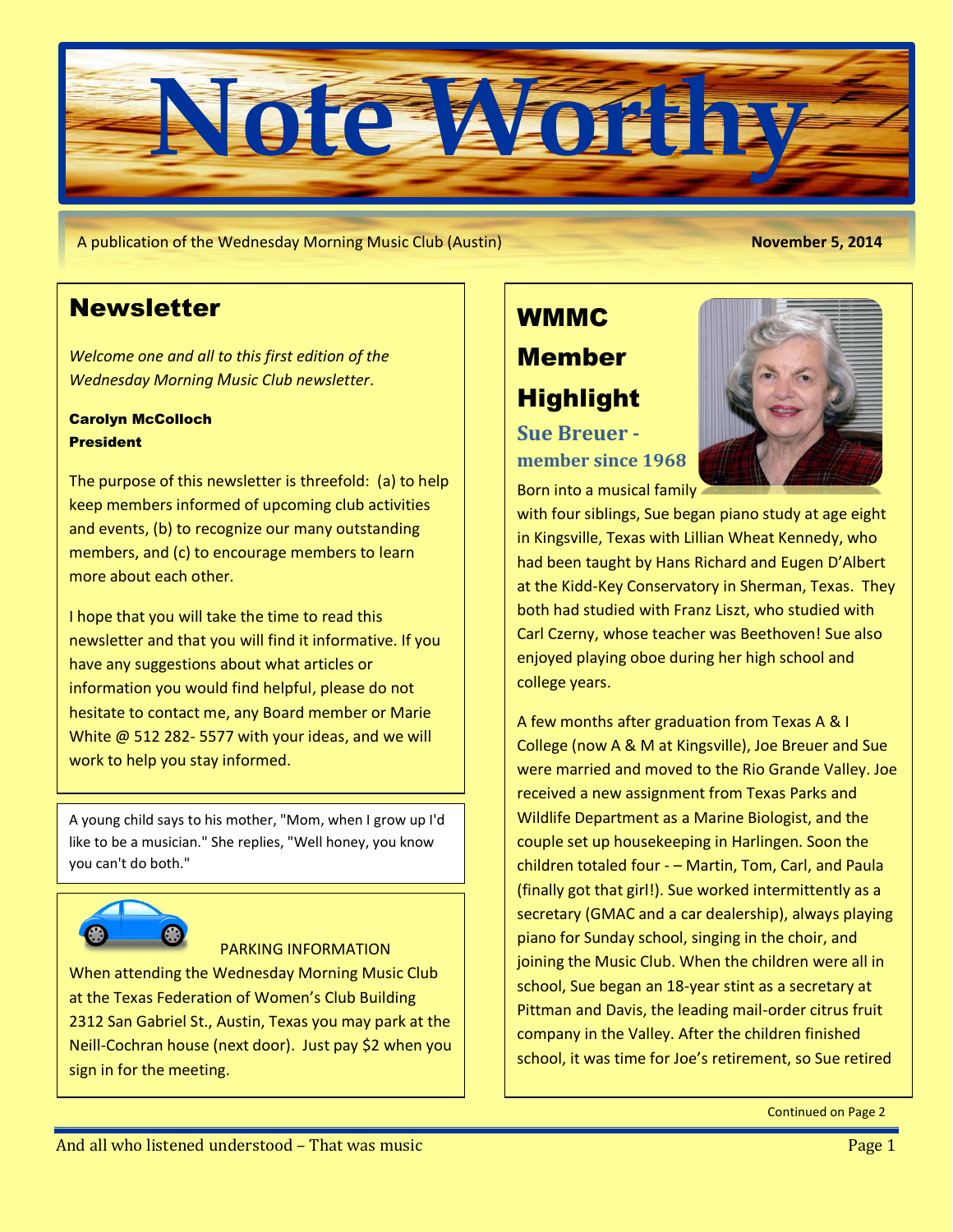

A publication of the Wednesday Morning Music Club (Austin) **November 5, 2014**

## **Newsletter**

*Welcome one and all to this first edition of the Wednesday Morning Music Club newsletter*.

#### Carolyn McColloch **President**

The purpose of this newsletter is threefold: (a) to help keep members informed of upcoming club activities and events, (b) to recognize our many outstanding members, and (c) to encourage members to learn more about each other.

I hope that you will take the time to read this newsletter and that you will find it informative. If you have any suggestions about what articles or information you would find helpful, please do not hesitate to contact me, any Board member or Marie White @ 512 282- 5577 with your ideas, and we will work to help you stay informed.

A young child says to his mother, "Mom, when I grow up I'd like to be a musician." She replies, "Well honey, you know you can't do both."



#### PARKING INFORMATION

When attending the Wednesday Morning Music Club at the Texas Federation of Women's Club Building 2312 San Gabriel St., Austin, Texas you may park at the Neill-Cochran house (next door). Just pay \$2 when you sign in for the meeting.

# WMMC Member Highlight

**Sue Breuer member since 1968**



with four siblings, Sue began piano study at age eight in Kingsville, Texas with Lillian Wheat Kennedy, who had been taught by Hans Richard and Eugen D'Albert at the Kidd-Key Conservatory in Sherman, Texas. They both had studied with Franz Liszt, who studied with Carl Czerny, whose teacher was Beethoven! Sue also enjoyed playing oboe during her high school and college years.

A few months after graduation from Texas A & I College (now A & M at Kingsville), Joe Breuer and Sue were married and moved to the Rio Grande Valley. Joe received a new assignment from Texas Parks and Wildlife Department as a Marine Biologist, and the couple set up housekeeping in Harlingen. Soon the children totaled four - – Martin, Tom, Carl, and Paula (finally got that girl!). Sue worked intermittently as a secretary (GMAC and a car dealership), always playing piano for Sunday school, singing in the choir, and joining the Music Club. When the children were all in school, Sue began an 18-year stint as a secretary at Pittman and Davis, the leading mail-order citrus fruit company in the Valley. After the children finished school, it was time for Joe's retirement, so Sue retired

Continued on Page 2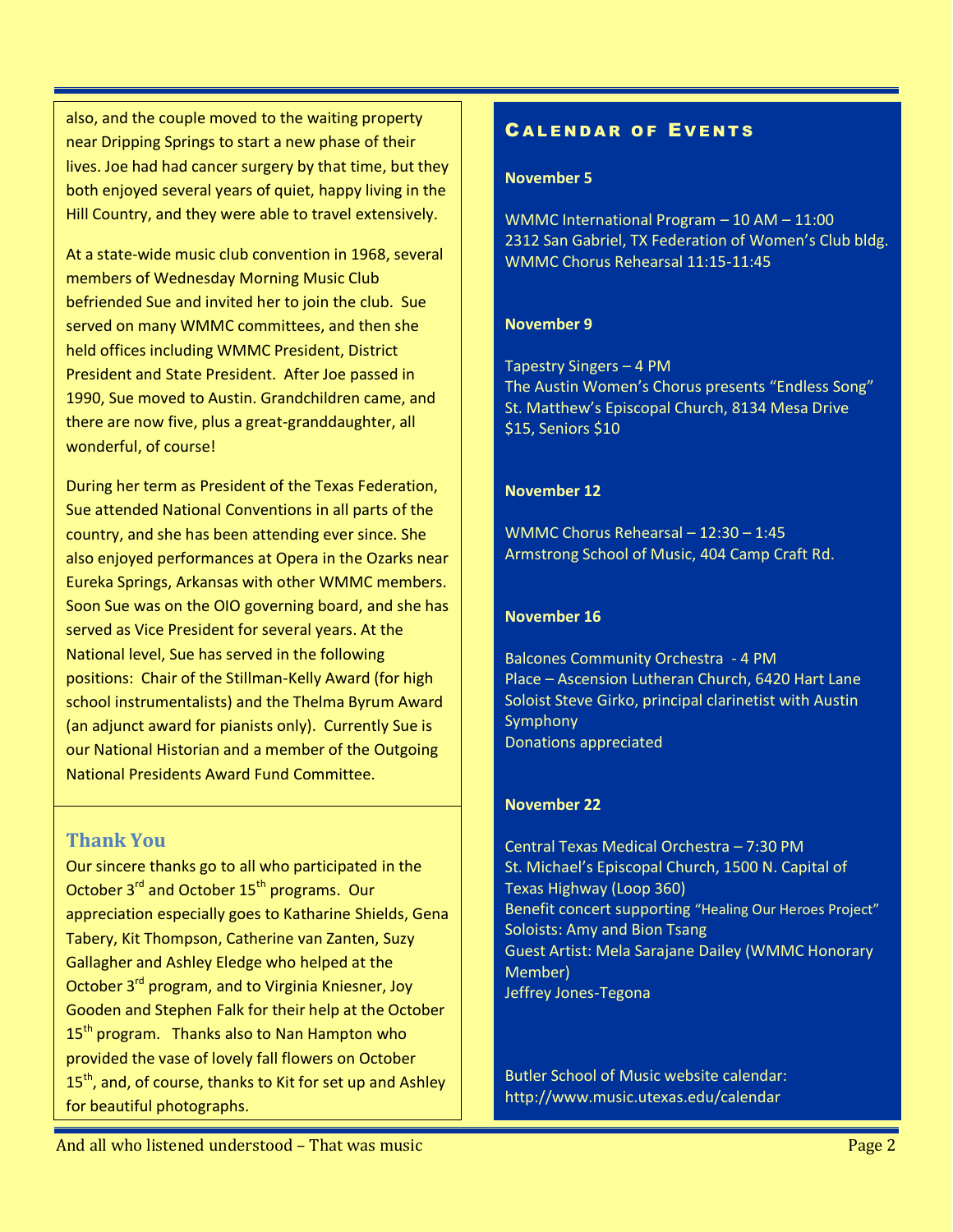also, and the couple moved to the waiting property near Dripping Springs to start a new phase of their lives. Joe had had cancer surgery by that time, but they both enjoyed several years of quiet, happy living in the Hill Country, and they were able to travel extensively.

At a state-wide music club convention in 1968, several members of Wednesday Morning Music Club befriended Sue and invited her to join the club. Sue served on many WMMC committees, and then she held offices including WMMC President, District President and State President. After Joe passed in 1990, Sue moved to Austin. Grandchildren came, and there are now five, plus a great-granddaughter, all wonderful, of course!

During her term as President of the Texas Federation, Sue attended National Conventions in all parts of the country, and she has been attending ever since. She also enjoyed performances at Opera in the Ozarks near Eureka Springs, Arkansas with other WMMC members. Soon Sue was on the OIO governing board, and she has served as Vice President for several years. At the National level, Sue has served in the following positions: Chair of the Stillman-Kelly Award (for high school instrumentalists) and the Thelma Byrum Award (an adjunct award for pianists only). Currently Sue is our National Historian and a member of the Outgoing National Presidents Award Fund Committee.

## **Thank You**

Our sincere thanks go to all who participated in the October 3<sup>rd</sup> and October 15<sup>th</sup> programs. Our appreciation especially goes to Katharine Shields, Gena Tabery, Kit Thompson, Catherine van Zanten, Suzy Gallagher and Ashley Eledge who helped at the October 3<sup>rd</sup> program, and to Virginia Kniesner, Joy Gooden and Stephen Falk for their help at the October 15<sup>th</sup> program. Thanks also to Nan Hampton who provided the vase of lovely fall flowers on October 15<sup>th</sup>, and, of course, thanks to Kit for set up and Ashley for beautiful photographs.

## **CALENDAR OF EVENTS**

#### **November 5**

WMMC International Program – 10 AM – 11:00 2312 San Gabriel, TX Federation of Women's Club bldg. WMMC Chorus Rehearsal 11:15-11:45

#### **November 9**

Tapestry Singers – 4 PM The Austin Women's Chorus presents "Endless Song" St. Matthew's Episcopal Church, 8134 Mesa Drive \$15, Seniors \$10

#### **November 12**

WMMC Chorus Rehearsal – 12:30 – 1:45 Armstrong School of Music, 404 Camp Craft Rd.

#### **November 16**

Balcones Community Orchestra - 4 PM Place – Ascension Lutheran Church, 6420 Hart Lane Soloist Steve Girko, principal clarinetist with Austin **Symphony** Donations appreciated

#### **November 22**

Central Texas Medical Orchestra – 7:30 PM St. Michael's Episcopal Church, 1500 N. Capital of Texas Highway (Loop 360) Benefit concert supporting "Healing Our Heroes Project" Soloists: Amy and Bion Tsang Guest Artist: Mela Sarajane Dailey (WMMC Honorary Member) Jeffrey Jones-Tegona

Butler School of Music website calendar: http://www.music.utexas.edu/calendar